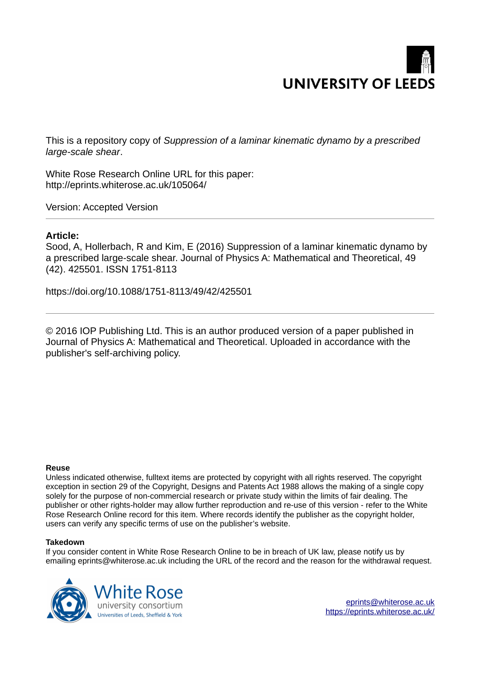

This is a repository copy of *Suppression of a laminar kinematic dynamo by a prescribed large-scale shear*.

White Rose Research Online URL for this paper: http://eprints.whiterose.ac.uk/105064/

Version: Accepted Version

# **Article:**

Sood, A, Hollerbach, R and Kim, E (2016) Suppression of a laminar kinematic dynamo by a prescribed large-scale shear. Journal of Physics A: Mathematical and Theoretical, 49 (42). 425501. ISSN 1751-8113

https://doi.org/10.1088/1751-8113/49/42/425501

© 2016 IOP Publishing Ltd. This is an author produced version of a paper published in Journal of Physics A: Mathematical and Theoretical. Uploaded in accordance with the publisher's self-archiving policy.

# **Reuse**

Unless indicated otherwise, fulltext items are protected by copyright with all rights reserved. The copyright exception in section 29 of the Copyright, Designs and Patents Act 1988 allows the making of a single copy solely for the purpose of non-commercial research or private study within the limits of fair dealing. The publisher or other rights-holder may allow further reproduction and re-use of this version - refer to the White Rose Research Online record for this item. Where records identify the publisher as the copyright holder, users can verify any specific terms of use on the publisher's website.

# **Takedown**

If you consider content in White Rose Research Online to be in breach of UK law, please notify us by emailing eprints@whiterose.ac.uk including the URL of the record and the reason for the withdrawal request.

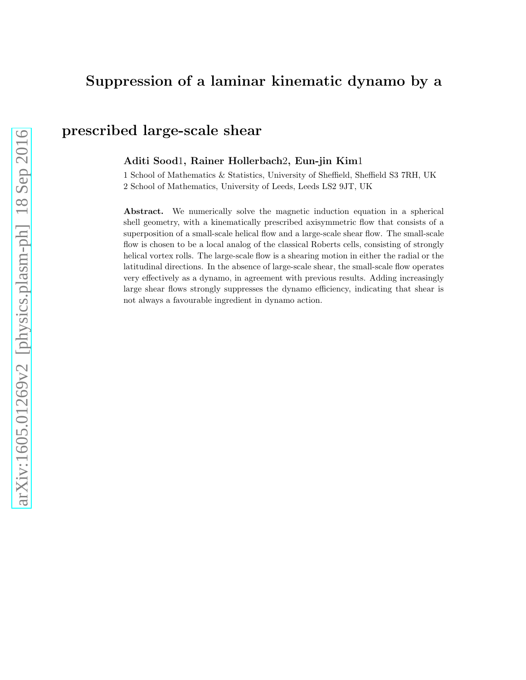# Suppression of a laminar kinematic dynamo by a

# prescribed large-scale shear

# Aditi Sood1, Rainer Hollerbach2, Eun-jin Kim1

1 School of Mathematics & Statistics, University of Sheffield, Sheffield S3 7RH, UK 2 School of Mathematics, University of Leeds, Leeds LS2 9JT, UK

Abstract. We numerically solve the magnetic induction equation in a spherical shell geometry, with a kinematically prescribed axisymmetric flow that consists of a superposition of a small-scale helical flow and a large-scale shear flow. The small-scale flow is chosen to be a local analog of the classical Roberts cells, consisting of strongly helical vortex rolls. The large-scale flow is a shearing motion in either the radial or the latitudinal directions. In the absence of large-scale shear, the small-scale flow operates very effectively as a dynamo, in agreement with previous results. Adding increasingly large shear flows strongly suppresses the dynamo efficiency, indicating that shear is not always a favourable ingredient in dynamo action.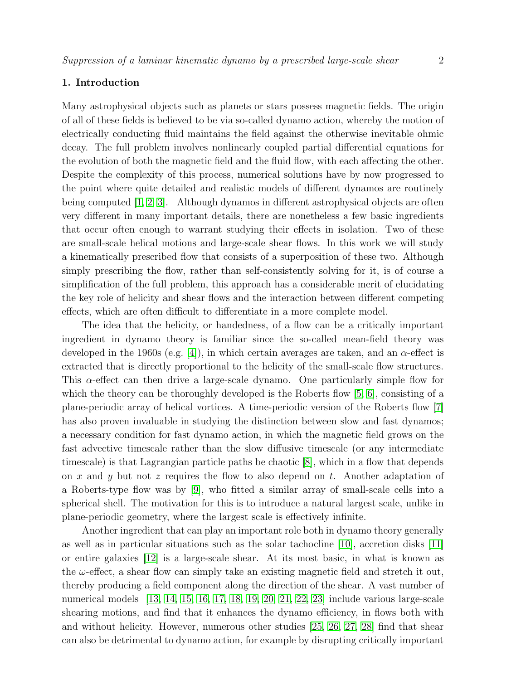#### 1. Introduction

Many astrophysical objects such as planets or stars possess magnetic fields. The origin of all of these fields is believed to be via so-called dynamo action, whereby the motion of electrically conducting fluid maintains the field against the otherwise inevitable ohmic decay. The full problem involves nonlinearly coupled partial differential equations for the evolution of both the magnetic field and the fluid flow, with each affecting the other. Despite the complexity of this process, numerical solutions have by now progressed to the point where quite detailed and realistic models of different dynamos are routinely being computed [\[1,](#page-10-0) [2,](#page-10-1) [3\]](#page-10-2). Although dynamos in different astrophysical objects are often very different in many important details, there are nonetheless a few basic ingredients that occur often enough to warrant studying their effects in isolation. Two of these are small-scale helical motions and large-scale shear flows. In this work we will study a kinematically prescribed flow that consists of a superposition of these two. Although simply prescribing the flow, rather than self-consistently solving for it, is of course a simplification of the full problem, this approach has a considerable merit of elucidating the key role of helicity and shear flows and the interaction between different competing effects, which are often difficult to differentiate in a more complete model.

<span id="page-2-0"></span>The idea that the helicity, or handedness, of a flow can be a critically important ingredient in dynamo theory is familiar since the so-called mean-field theory was developed in the 1960s (e.g. [\[4\]](#page-10-3)), in which certain averages are taken, and an  $\alpha$ -effect is extracted that is directly proportional to the helicity of the small-scale flow structures. This  $\alpha$ -effect can then drive a large-scale dynamo. One particularly simple flow for which the theory can be thoroughly developed is the Roberts flow  $[5, 6]$  $[5, 6]$ , consisting of a plane-periodic array of helical vortices. A time-periodic version of the Roberts flow [\[7\]](#page-10-6) has also proven invaluable in studying the distinction between slow and fast dynamos; a necessary condition for fast dynamo action, in which the magnetic field grows on the fast advective timescale rather than the slow diffusive timescale (or any intermediate timescale) is that Lagrangian particle paths be chaotic [\[8\]](#page-10-7), which in a flow that depends on x and y but not z requires the flow to also depend on t. Another adaptation of a Roberts-type flow was by [\[9\]](#page-10-8), who fitted a similar array of small-scale cells into a spherical shell. The motivation for this is to introduce a natural largest scale, unlike in plane-periodic geometry, where the largest scale is effectively infinite.

Another ingredient that can play an important role both in dynamo theory generally as well as in particular situations such as the solar tachocline [\[10\]](#page-10-9), accretion disks [\[11\]](#page-10-10) or entire galaxies [\[12\]](#page-10-11) is a large-scale shear. At its most basic, in what is known as the  $\omega$ -effect, a shear flow can simply take an existing magnetic field and stretch it out, thereby producing a field component along the direction of the shear. A vast number of numerical models [\[13,](#page-10-12) [14,](#page-10-13) [15,](#page-10-14) [16,](#page-10-15) [17,](#page-10-16) [18,](#page-10-17) [19,](#page-10-18) [20,](#page-10-19) [21,](#page-10-20) [22,](#page-10-21) [23\]](#page-10-22) include various large-scale shearing motions, and find that it enhances the dynamo efficiency, in flows both with and without helicity. However, numerous other studies [\[25,](#page-10-23) [26,](#page-10-24) [27,](#page-10-25) [28\]](#page-10-26) find that shear can also be detrimental to dynamo action, for example by disrupting critically important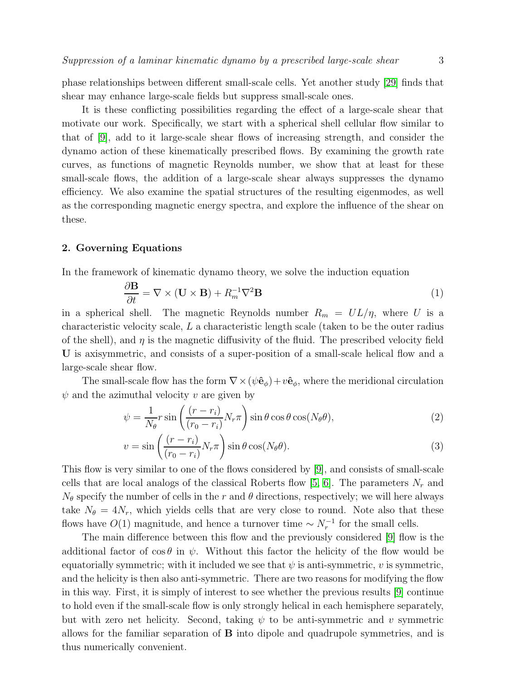phase relationships between different small-scale cells. Yet another study [\[29\]](#page-10-27) finds that shear may enhance large-scale fields but suppress small-scale ones.

It is these conflicting possibilities regarding the effect of a large-scale shear that motivate our work. Specifically, we start with a spherical shell cellular flow similar to that of [\[9\]](#page-10-8), add to it large-scale shear flows of increasing strength, and consider the dynamo action of these kinematically prescribed flows. By examining the growth rate curves, as functions of magnetic Reynolds number, we show that at least for these small-scale flows, the addition of a large-scale shear always suppresses the dynamo efficiency. We also examine the spatial structures of the resulting eigenmodes, as well as the corresponding magnetic energy spectra, and explore the influence of the shear on these.

# 2. Governing Equations

In the framework of kinematic dynamo theory, we solve the induction equation

$$
\frac{\partial \mathbf{B}}{\partial t} = \nabla \times (\mathbf{U} \times \mathbf{B}) + R_m^{-1} \nabla^2 \mathbf{B}
$$
 (1)

in a spherical shell. The magnetic Reynolds number  $R_m = UL/\eta$ , where U is a characteristic velocity scale, L a characteristic length scale (taken to be the outer radius of the shell), and  $\eta$  is the magnetic diffusivity of the fluid. The prescribed velocity field U is axisymmetric, and consists of a super-position of a small-scale helical flow and a large-scale shear flow.

The small-scale flow has the form  $\nabla \times (\psi \hat{\mathbf{e}}_{\phi}) + v \hat{\mathbf{e}}_{\phi}$ , where the meridional circulation  $\psi$  and the azimuthal velocity v are given by

$$
\psi = \frac{1}{N_{\theta}} r \sin \left( \frac{(r - r_i)}{(r_0 - r_i)} N_r \pi \right) \sin \theta \cos \theta \cos(N_{\theta} \theta), \tag{2}
$$

$$
v = \sin\left(\frac{(r - r_i)}{(r_0 - r_i)} N_r \pi\right) \sin\theta \cos(N_\theta \theta). \tag{3}
$$

This flow is very similar to one of the flows considered by [\[9\]](#page-10-8), and consists of small-scale cells that are local analogs of the classical Roberts flow [\[5,](#page-10-4) [6\]](#page-10-5). The parameters  $N_r$  and  $N_{\theta}$  specify the number of cells in the r and  $\theta$  directions, respectively; we will here always take  $N_{\theta} = 4N_r$ , which yields cells that are very close to round. Note also that these flows have  $O(1)$  magnitude, and hence a turnover time  $\sim N_r^{-1}$  for the small cells.

The main difference between this flow and the previously considered [\[9\]](#page-10-8) flow is the additional factor of  $\cos \theta$  in  $\psi$ . Without this factor the helicity of the flow would be equatorially symmetric; with it included we see that  $\psi$  is anti-symmetric, v is symmetric, and the helicity is then also anti-symmetric. There are two reasons for modifying the flow in this way. First, it is simply of interest to see whether the previous results [\[9\]](#page-10-8) continue to hold even if the small-scale flow is only strongly helical in each hemisphere separately, but with zero net helicity. Second, taking  $\psi$  to be anti-symmetric and v symmetric allows for the familiar separation of B into dipole and quadrupole symmetries, and is thus numerically convenient.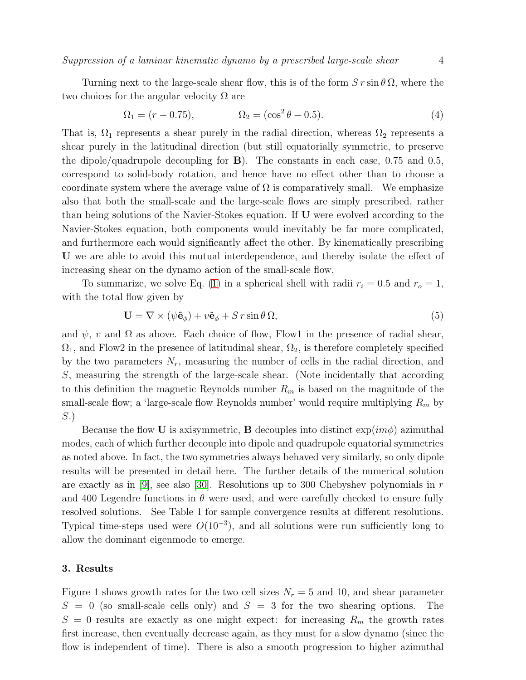Suppression of a laminar kinematic dynamo by a prescribed large-scale shear 4

Turning next to the large-scale shear flow, this is of the form  $S r \sin \theta \Omega$ , where the two choices for the angular velocity  $\Omega$  are

$$
\Omega_1 = (r - 0.75), \qquad \Omega_2 = (\cos^2 \theta - 0.5). \tag{4}
$$

That is,  $\Omega_1$  represents a shear purely in the radial direction, whereas  $\Omega_2$  represents a shear purely in the latitudinal direction (but still equatorially symmetric, to preserve the dipole/quadrupole decoupling for  $\bf{B}$ ). The constants in each case, 0.75 and 0.5, correspond to solid-body rotation, and hence have no effect other than to choose a coordinate system where the average value of  $\Omega$  is comparatively small. We emphasize also that both the small-scale and the large-scale flows are simply prescribed, rather than being solutions of the Navier-Stokes equation. If U were evolved according to the Navier-Stokes equation, both components would inevitably be far more complicated, and furthermore each would significantly affect the other. By kinematically prescribing U we are able to avoid this mutual interdependence, and thereby isolate the effect of increasing shear on the dynamo action of the small-scale flow.

To summarize, we solve Eq. [\(1\)](#page-2-0) in a spherical shell with radii  $r_i = 0.5$  and  $r_o = 1$ , with the total flow given by

$$
\mathbf{U} = \nabla \times (\psi \hat{\mathbf{e}}_{\phi}) + v \hat{\mathbf{e}}_{\phi} + S r \sin \theta \, \Omega, \tag{5}
$$

and  $\psi$ , v and  $\Omega$  as above. Each choice of flow, Flow1 in the presence of radial shear,  $\Omega_1$ , and Flow2 in the presence of latitudinal shear,  $\Omega_2$ , is therefore completely specified by the two parameters  $N_r$ , measuring the number of cells in the radial direction, and S, measuring the strength of the large-scale shear. (Note incidentally that according to this definition the magnetic Reynolds number  $R_m$  is based on the magnitude of the small-scale flow; a 'large-scale flow Reynolds number' would require multiplying  $R_m$  by S.)

Because the flow U is axisymmetric, B decouples into distinct  $\exp(im\phi)$  azimuthal modes, each of which further decouple into dipole and quadrupole equatorial symmetries as noted above. In fact, the two symmetries always behaved very similarly, so only dipole results will be presented in detail here. The further details of the numerical solution are exactly as in  $|9|$ , see also  $|30|$ . Resolutions up to 300 Chebyshev polynomials in r and 400 Legendre functions in  $\theta$  were used, and were carefully checked to ensure fully resolved solutions. See Table 1 for sample convergence results at different resolutions. Typical time-steps used were  $O(10^{-3})$ , and all solutions were run sufficiently long to allow the dominant eigenmode to emerge.

# 3. Results

Figure 1 shows growth rates for the two cell sizes  $N_r = 5$  and 10, and shear parameter  $S = 0$  (so small-scale cells only) and  $S = 3$  for the two shearing options. The  $S = 0$  results are exactly as one might expect: for increasing  $R_m$  the growth rates first increase, then eventually decrease again, as they must for a slow dynamo (since the flow is independent of time). There is also a smooth progression to higher azimuthal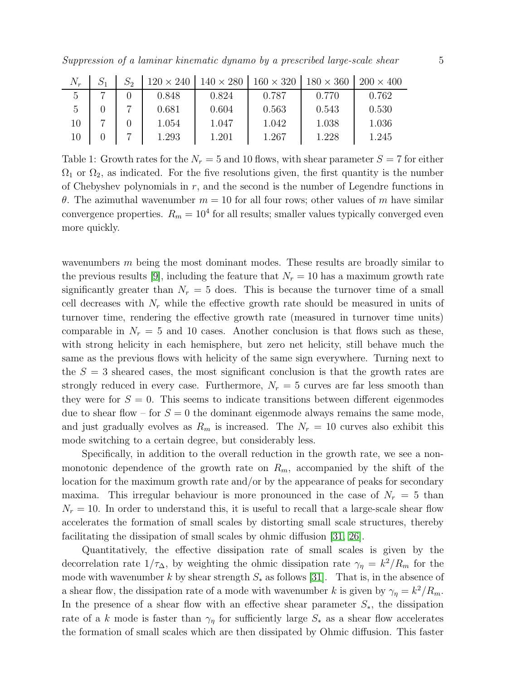|    |  | $120 \times 240$ $140 \times 280$ $160 \times 320$ $180 \times 360$ $200 \times 400$ |       |       |       |       |
|----|--|--------------------------------------------------------------------------------------|-------|-------|-------|-------|
|    |  | 0.848                                                                                | 0.824 | 0.787 | 0.770 | 0.762 |
|    |  | 0.681                                                                                | 0.604 | 0.563 | 0.543 | 0.530 |
| 10 |  | 1.054                                                                                | 1.047 | 1.042 | 1.038 | 1.036 |
| 10 |  | 1.293                                                                                | 1.201 | 1.267 | 1.228 | 1.245 |

Table 1: Growth rates for the  $N_r = 5$  and 10 flows, with shear parameter  $S = 7$  for either  $\Omega_1$  or  $\Omega_2$ , as indicated. For the five resolutions given, the first quantity is the number of Chebyshev polynomials in  $r$ , and the second is the number of Legendre functions in θ. The azimuthal wavenumber  $m = 10$  for all four rows; other values of m have similar convergence properties.  $R_m = 10^4$  for all results; smaller values typically converged even more quickly.

wavenumbers  $m$  being the most dominant modes. These results are broadly similar to the previous results [\[9\]](#page-10-8), including the feature that  $N_r = 10$  has a maximum growth rate significantly greater than  $N_r = 5$  does. This is because the turnover time of a small cell decreases with  $N_r$  while the effective growth rate should be measured in units of turnover time, rendering the effective growth rate (measured in turnover time units) comparable in  $N_r = 5$  and 10 cases. Another conclusion is that flows such as these, with strong helicity in each hemisphere, but zero net helicity, still behave much the same as the previous flows with helicity of the same sign everywhere. Turning next to the  $S = 3$  sheared cases, the most significant conclusion is that the growth rates are strongly reduced in every case. Furthermore,  $N_r = 5$  curves are far less smooth than they were for  $S = 0$ . This seems to indicate transitions between different eigenmodes due to shear flow – for  $S = 0$  the dominant eigenmode always remains the same mode, and just gradually evolves as  $R_m$  is increased. The  $N_r = 10$  curves also exhibit this mode switching to a certain degree, but considerably less.

Specifically, in addition to the overall reduction in the growth rate, we see a nonmonotonic dependence of the growth rate on  $R_m$ , accompanied by the shift of the location for the maximum growth rate and/or by the appearance of peaks for secondary maxima. This irregular behaviour is more pronounced in the case of  $N_r = 5$  than  $N_r = 10$ . In order to understand this, it is useful to recall that a large-scale shear flow accelerates the formation of small scales by distorting small scale structures, thereby facilitating the dissipation of small scales by ohmic diffusion [\[31,](#page-10-29) [26\]](#page-10-24).

<span id="page-5-0"></span>Quantitatively, the effective dissipation rate of small scales is given by the decorrelation rate  $1/\tau_{\Delta}$ , by weighting the ohmic dissipation rate  $\gamma_{\eta} = k^2/R_m$  for the mode with wavenumber k by shear strength  $S_*$  as follows [\[31\]](#page-10-29). That is, in the absence of a shear flow, the dissipation rate of a mode with wavenumber k is given by  $\gamma_{\eta} = k^2/R_m$ . In the presence of a shear flow with an effective shear parameter  $S_{*}$ , the dissipation rate of a k mode is faster than  $\gamma_{\eta}$  for sufficiently large  $S_{*}$  as a shear flow accelerates the formation of small scales which are then dissipated by Ohmic diffusion. This faster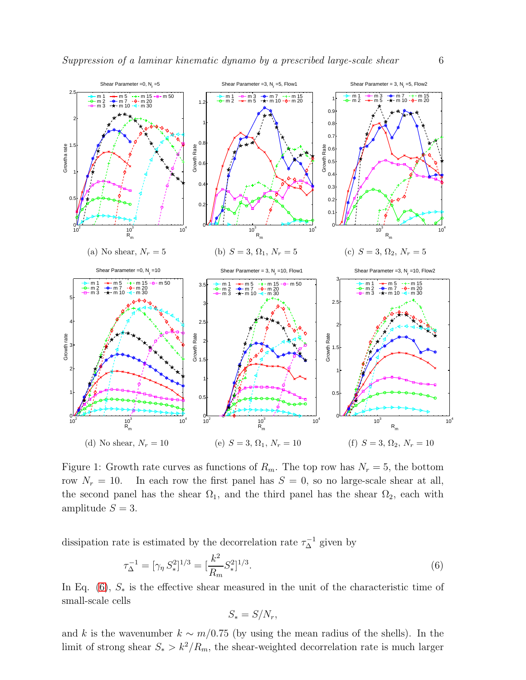<span id="page-6-0"></span>

<span id="page-6-2"></span><span id="page-6-1"></span>Figure 1: Growth rate curves as functions of  $R_m$ . The top row has  $N_r = 5$ , the bottom row  $N_r = 10$ . In each row the first panel has  $S = 0$ , so no large-scale shear at all, the second panel has the shear  $\Omega_1$ , and the third panel has the shear  $\Omega_2$ , each with amplitude  $S = 3$ .

dissipation rate is estimated by the decorrelation rate  $\tau_{\Delta}^{-1}$  given by

$$
\tau_{\Delta}^{-1} = [\gamma_{\eta} S_{*}^{2}]^{1/3} = [\frac{k^{2}}{R_{m}} S_{*}^{2}]^{1/3}.
$$
\n(6)

In Eq. [\(6\)](#page-5-0),  $S_*$  is the effective shear measured in the unit of the characteristic time of small-scale cells

$$
S_* = S/N_r,
$$

and k is the wavenumber  $k \sim m/0.75$  (by using the mean radius of the shells). In the limit of strong shear  $S_* > k^2/R_m$ , the shear-weighted decorrelation rate is much larger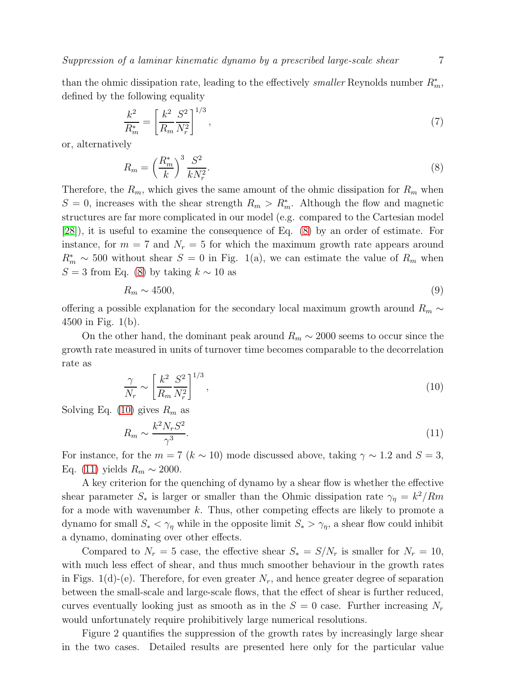Suppression of a laminar kinematic dynamo by a prescribed large-scale shear 7

than the ohmic dissipation rate, leading to the effectively *smaller* Reynolds number  $R_m^*$ , defined by the following equality

$$
\frac{k^2}{R_m^*} = \left[\frac{k^2}{R_m} \frac{S^2}{N_r^2}\right]^{1/3},\tag{7}
$$

or, alternatively

$$
R_m = \left(\frac{R_m^*}{k}\right)^3 \frac{S^2}{kN_r^2}.\tag{8}
$$

Therefore, the  $R_m$ , which gives the same amount of the ohmic dissipation for  $R_m$  when  $S = 0$ , increases with the shear strength  $R_m > R_m^*$ . Although the flow and magnetic structures are far more complicated in our model (e.g. compared to the Cartesian model [\[28\]](#page-10-26)), it is useful to examine the consequence of Eq. [\(8\)](#page-6-0) by an order of estimate. For instance, for  $m = 7$  and  $N_r = 5$  for which the maximum growth rate appears around  $R_m^* \sim 500$  without shear  $S = 0$  in Fig. 1(a), we can estimate the value of  $R_m$  when S = 3 from Eq. [\(8\)](#page-6-0) by taking  $k \sim 10$  as

$$
R_m \sim 4500,\tag{9}
$$

offering a possible explanation for the secondary local maximum growth around  $R_m \sim$ 4500 in Fig. 1(b).

On the other hand, the dominant peak around  $R_m \sim 2000$  seems to occur since the growth rate measured in units of turnover time becomes comparable to the decorrelation rate as

$$
\frac{\gamma}{N_r} \sim \left[\frac{k^2}{R_m} \frac{S^2}{N_r^2}\right]^{1/3},\tag{10}
$$

Solving Eq. [\(10\)](#page-6-1) gives  $R_m$  as

$$
R_m \sim \frac{k^2 N_r S^2}{\gamma^3}.\tag{11}
$$

For instance, for the  $m = 7$  ( $k \sim 10$ ) mode discussed above, taking  $\gamma \sim 1.2$  and  $S = 3$ , Eq. [\(11\)](#page-6-2) yields  $R_m \sim 2000$ .

A key criterion for the quenching of dynamo by a shear flow is whether the effective shear parameter  $S_*$  is larger or smaller than the Ohmic dissipation rate  $\gamma_{\eta} = k^2/Rm$ for a mode with wavenumber  $k$ . Thus, other competing effects are likely to promote a dynamo for small  $S_* < \gamma_\eta$  while in the opposite limit  $S_* > \gamma_\eta$ , a shear flow could inhibit a dynamo, dominating over other effects.

<span id="page-7-0"></span>Compared to  $N_r = 5$  case, the effective shear  $S_* = S/N_r$  is smaller for  $N_r = 10$ , with much less effect of shear, and thus much smoother behaviour in the growth rates in Figs. 1(d)-(e). Therefore, for even greater  $N_r$ , and hence greater degree of separation between the small-scale and large-scale flows, that the effect of shear is further reduced, curves eventually looking just as smooth as in the  $S = 0$  case. Further increasing  $N_r$ would unfortunately require prohibitively large numerical resolutions.

Figure 2 quantifies the suppression of the growth rates by increasingly large shear in the two cases. Detailed results are presented here only for the particular value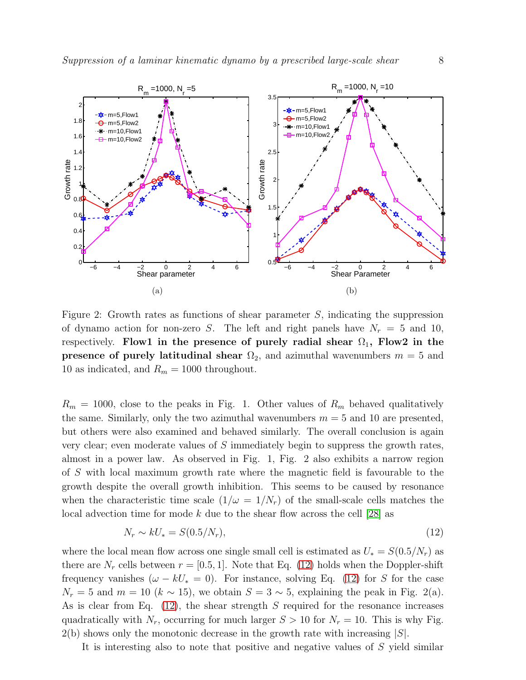

Figure 2: Growth rates as functions of shear parameter S, indicating the suppression of dynamo action for non-zero S. The left and right panels have  $N_r = 5$  and 10, respectively. Flow1 in the presence of purely radial shear  $\Omega_1$ , Flow2 in the **presence of purely latitudinal shear**  $\Omega_2$ , and azimuthal wavenumbers  $m = 5$  and 10 as indicated, and  $R_m = 1000$  throughout.

 $R_m = 1000$ , close to the peaks in Fig. 1. Other values of  $R_m$  behaved qualitatively the same. Similarly, only the two azimuthal wavenumbers  $m = 5$  and 10 are presented, but others were also examined and behaved similarly. The overall conclusion is again very clear; even moderate values of S immediately begin to suppress the growth rates, almost in a power law. As observed in Fig. 1, Fig. 2 also exhibits a narrow region of S with local maximum growth rate where the magnetic field is favourable to the growth despite the overall growth inhibition. This seems to be caused by resonance when the characteristic time scale  $(1/\omega = 1/N_r)$  of the small-scale cells matches the local advection time for mode k due to the shear flow across the cell  $|28|$  as

$$
N_r \sim kU_* = S(0.5/N_r),\tag{12}
$$

where the local mean flow across one single small cell is estimated as  $U_* = S(0.5/N_r)$  as there are  $N_r$  cells between  $r = [0.5, 1]$ . Note that Eq. [\(12\)](#page-7-0) holds when the Doppler-shift frequency vanishes  $(\omega - kU_*)$  = 0). For instance, solving Eq. [\(12\)](#page-7-0) for S for the case  $N_r = 5$  and  $m = 10$   $(k \sim 15)$ , we obtain  $S = 3 \sim 5$ , explaining the peak in Fig. 2(a). As is clear from Eq.  $(12)$ , the shear strength S required for the resonance increases quadratically with  $N_r$ , occurring for much larger  $S > 10$  for  $N_r = 10$ . This is why Fig.  $2(b)$  shows only the monotonic decrease in the growth rate with increasing  $|S|$ .

It is interesting also to note that positive and negative values of S yield similar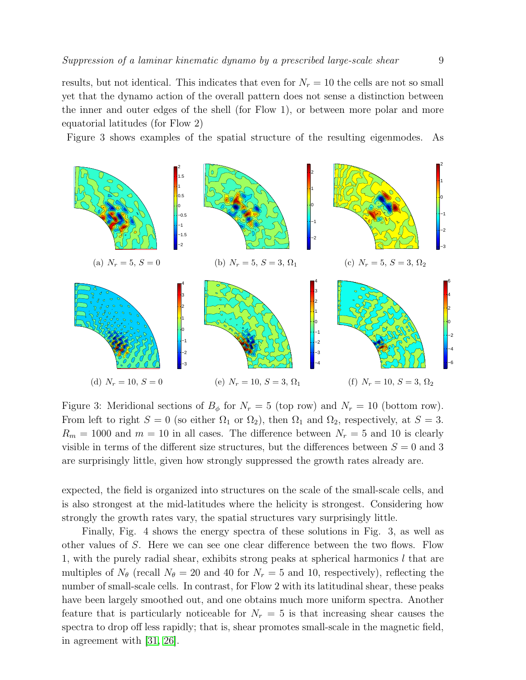results, but not identical. This indicates that even for  $N_r = 10$  the cells are not so small yet that the dynamo action of the overall pattern does not sense a distinction between the inner and outer edges of the shell (for Flow 1), or between more polar and more equatorial latitudes (for Flow 2)

Figure 3 shows examples of the spatial structure of the resulting eigenmodes. As



Figure 3: Meridional sections of  $B_{\phi}$  for  $N_r = 5$  (top row) and  $N_r = 10$  (bottom row). From left to right  $S = 0$  (so either  $\Omega_1$  or  $\Omega_2$ ), then  $\Omega_1$  and  $\Omega_2$ , respectively, at  $S = 3$ .  $R_m = 1000$  and  $m = 10$  in all cases. The difference between  $N_r = 5$  and 10 is clearly visible in terms of the different size structures, but the differences between  $S = 0$  and 3 are surprisingly little, given how strongly suppressed the growth rates already are.

expected, the field is organized into structures on the scale of the small-scale cells, and is also strongest at the mid-latitudes where the helicity is strongest. Considering how strongly the growth rates vary, the spatial structures vary surprisingly little.

Finally, Fig. 4 shows the energy spectra of these solutions in Fig. 3, as well as other values of S. Here we can see one clear difference between the two flows. Flow 1, with the purely radial shear, exhibits strong peaks at spherical harmonics  $l$  that are multiples of  $N_{\theta}$  (recall  $N_{\theta} = 20$  and 40 for  $N_r = 5$  and 10, respectively), reflecting the number of small-scale cells. In contrast, for Flow 2 with its latitudinal shear, these peaks have been largely smoothed out, and one obtains much more uniform spectra. Another feature that is particularly noticeable for  $N_r = 5$  is that increasing shear causes the spectra to drop off less rapidly; that is, shear promotes small-scale in the magnetic field, in agreement with [\[31,](#page-10-29) [26\]](#page-10-24).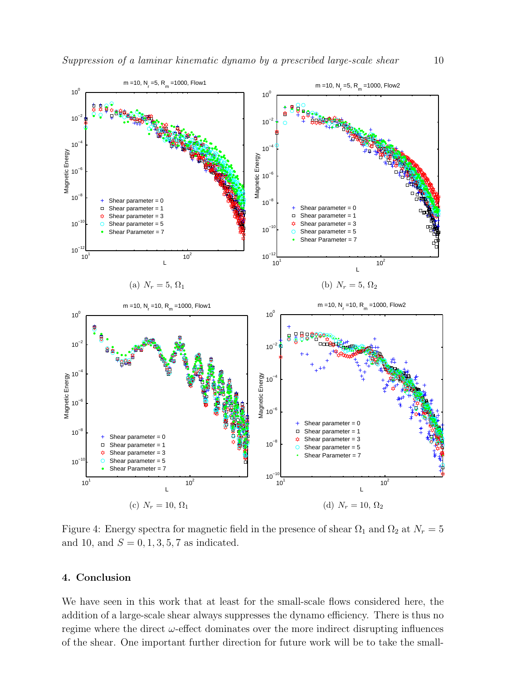<span id="page-10-3"></span><span id="page-10-2"></span><span id="page-10-1"></span><span id="page-10-0"></span>

<span id="page-10-23"></span><span id="page-10-22"></span><span id="page-10-21"></span><span id="page-10-20"></span><span id="page-10-19"></span><span id="page-10-18"></span><span id="page-10-17"></span><span id="page-10-16"></span><span id="page-10-15"></span><span id="page-10-14"></span><span id="page-10-13"></span><span id="page-10-12"></span><span id="page-10-11"></span><span id="page-10-10"></span><span id="page-10-9"></span><span id="page-10-8"></span><span id="page-10-7"></span><span id="page-10-6"></span><span id="page-10-5"></span><span id="page-10-4"></span>Figure 4: Energy spectra for magnetic field in the presence of shear  $\Omega_1$  and  $\Omega_2$  at  $N_r = 5$ and 10, and  $S = 0, 1, 3, 5, 7$  as indicated.

# <span id="page-10-26"></span><span id="page-10-25"></span><span id="page-10-24"></span>4. Conclusion

<span id="page-10-30"></span><span id="page-10-29"></span><span id="page-10-28"></span><span id="page-10-27"></span>We have seen in this work that at least for the small-scale flows considered here, the addition of a large-scale shear always suppresses the dynamo efficiency. There is thus no regime where the direct  $\omega$ -effect dominates over the more indirect disrupting influences of the shear. One important further direction for future work will be to take the small